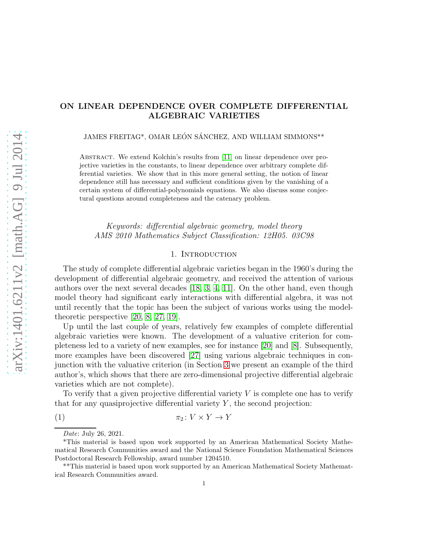# ON LINEAR DEPENDENCE OVER COMPLETE DIFFERENTIAL ALGEBRAIC VARIETIES

JAMES FREITAG\*, OMAR LEÓN SÁNCHEZ, AND WILLIAM SIMMONS\*\*

Abstract. We extend Kolchin's results from [\[11\]](#page-22-0) on linear dependence over projective varieties in the constants, to linear dependence over arbitrary complete differential varieties. We show that in this more general setting, the notion of linear dependence still has necessary and sufficient conditions given by the vanishing of a certain system of differential-polynomials equations. We also discuss some conjectural questions around completeness and the catenary problem.

Keywords: differential algebraic geometry, model theory AMS 2010 Mathematics Subject Classification: 12H05. 03C98

## 1. INTRODUCTION

The study of complete differential algebraic varieties began in the 1960's during the development of differential algebraic geometry, and received the attention of various authors over the next several decades [\[18,](#page-23-0) [3,](#page-22-1) [4,](#page-22-2) [11\]](#page-22-0). On the other hand, even though model theory had significant early interactions with differential algebra, it was not until recently that the topic has been the subject of various works using the modeltheoretic perspective [\[20,](#page-23-1) [8,](#page-22-3) [27,](#page-23-2) [19\]](#page-23-3).

Up until the last couple of years, relatively few examples of complete differential algebraic varieties were known. The development of a valuative criterion for completeness led to a variety of new examples, see for instance [\[20\]](#page-23-1) and [\[8\]](#page-22-3). Subsequently, more examples have been discovered [\[27\]](#page-23-2) using various algebraic techniques in conjunction with the valuative criterion (in Section [3](#page-4-0) we present an example of the third author's, which shows that there are zero-dimensional projective differential algebraic varieties which are not complete).

To verify that a given projective differential variety  $V$  is complete one has to verify that for any quasiprojective differential variety  $Y$ , the second projection:

$$
\pi_2 \colon V \times Y \to Y
$$

<span id="page-0-0"></span>Date: July 26, 2021.

<sup>\*</sup>This material is based upon work supported by an American Mathematical Society Mathematical Research Communities award and the National Science Foundation Mathematical Sciences Postdoctoral Research Fellowship, award number 1204510.

<sup>\*\*</sup>This material is based upon work supported by an American Mathematical Society Mathematical Research Communities award.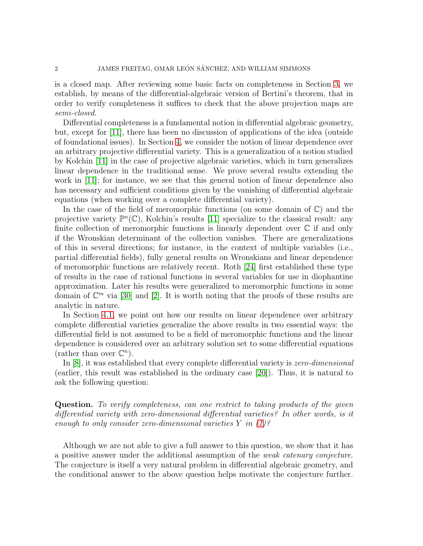is a closed map. After reviewing some basic facts on completeness in Section [3,](#page-4-0) we establish, by means of the differential-algebraic version of Bertini's theorem, that in order to verify completeness it suffices to check that the above projection maps are semi-closed.

Differential completeness is a fundamental notion in differential algebraic geometry, but, except for [\[11\]](#page-22-0), there has been no discussion of applications of the idea (outside of foundational issues). In Section [4,](#page-8-0) we consider the notion of linear dependence over an arbitrary projective differential variety. This is a generalization of a notion studied by Kolchin [\[11\]](#page-22-0) in the case of projective algebraic varieties, which in turn generalizes linear dependence in the traditional sense. We prove several results extending the work in [\[11\]](#page-22-0); for instance, we see that this general notion of linear dependence also has necessary and sufficient conditions given by the vanishing of differential algebraic equations (when working over a complete differential variety).

In the case of the field of meromorphic functions (on some domain of  $\mathbb{C}$ ) and the projective variety  $\mathbb{P}^n(\mathbb{C})$ , Kolchin's results [\[11\]](#page-22-0) specialize to the classical result: any finite collection of meromorphic functions is linearly dependent over  $\mathbb C$  if and only if the Wronskian determinant of the collection vanishes. There are generalizations of this in several directions; for instance, in the context of multiple variables (i.e., partial differential fields), fully general results on Wronskians and linear dependence of meromorphic functions are relatively recent. Roth [\[24\]](#page-23-4) first established these type of results in the case of rational functions in several variables for use in diophantine approximation. Later his results were generalized to meromorphic functions in some domain of  $\mathbb{C}^m$  via [\[30\]](#page-23-5) and [\[2\]](#page-22-4). It is worth noting that the proofs of these results are analytic in nature.

In Section [4.1,](#page-13-0) we point out how our results on linear dependence over arbitrary complete differential varieties generalize the above results in two essential ways: the differential field is not assumed to be a field of meromorphic functions and the linear dependence is considered over an arbitrary solution set to some differential equations (rather than over  $\mathbb{C}^n$ ).

In [\[8\]](#page-22-3), it was established that every complete differential variety is zero-dimensional (earlier, this result was established in the ordinary case [\[20\]](#page-23-1)). Thus, it is natural to ask the following question:

Question. To verify completeness, can one restrict to taking products of the given differential variety with zero-dimensional differential varieties? In other words, is it enough to only consider zero-dimensional varieties  $Y$  in  $(1)$ ?

Although we are not able to give a full answer to this question, we show that it has a positive answer under the additional assumption of the weak catenary conjecture. The conjecture is itself a very natural problem in differential algebraic geometry, and the conditional answer to the above question helps motivate the conjecture further.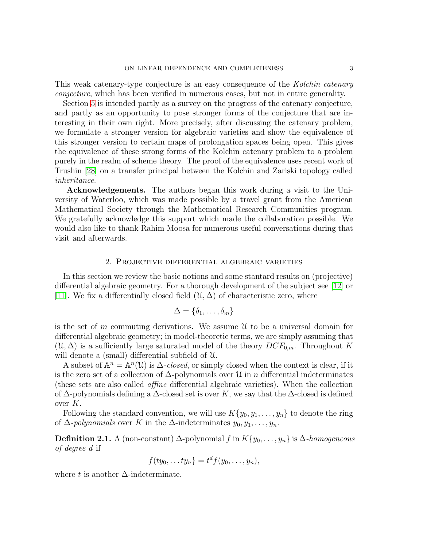This weak catenary-type conjecture is an easy consequence of the Kolchin catenary conjecture, which has been verified in numerous cases, but not in entire generality.

Section [5](#page-15-0) is intended partly as a survey on the progress of the catenary conjecture, and partly as an opportunity to pose stronger forms of the conjecture that are interesting in their own right. More precisely, after discussing the catenary problem, we formulate a stronger version for algebraic varieties and show the equivalence of this stronger version to certain maps of prolongation spaces being open. This gives the equivalence of these strong forms of the Kolchin catenary problem to a problem purely in the realm of scheme theory. The proof of the equivalence uses recent work of Trushin [\[28\]](#page-23-6) on a transfer principal between the Kolchin and Zariski topology called inheritance.

Acknowledgements. The authors began this work during a visit to the University of Waterloo, which was made possible by a travel grant from the American Mathematical Society through the Mathematical Research Communities program. We gratefully acknowledge this support which made the collaboration possible. We would also like to thank Rahim Moosa for numerous useful conversations during that visit and afterwards.

### 2. Projective differential algebraic varieties

In this section we review the basic notions and some stantard results on (projective) differential algebraic geometry. For a thorough development of the subject see [\[12\]](#page-22-5) or [\[11\]](#page-22-0). We fix a differentially closed field  $(\mathcal{U}, \Delta)$  of characteristic zero, where

$$
\Delta=\{\delta_1,\ldots,\delta_m\}
$$

is the set of m commuting derivations. We assume  $\mathfrak U$  to be a universal domain for differential algebraic geometry; in model-theoretic terms, we are simply assuming that  $(\mathcal{U}, \Delta)$  is a sufficiently large saturated model of the theory  $DCF_{0,m}$ . Throughout K will denote a (small) differential subfield of U.

A subset of  $\mathbb{A}^n = \mathbb{A}^n(\mathcal{U})$  is  $\Delta$ -closed, or simply closed when the context is clear, if it is the zero set of a collection of  $\Delta$ -polynomials over U in n differential indeterminates (these sets are also called affine differential algebraic varieties). When the collection of  $\Delta$ -polynomials defining a  $\Delta$ -closed set is over K, we say that the  $\Delta$ -closed is defined over  $K$ .

Following the standard convention, we will use  $K\{y_0, y_1, \ldots, y_n\}$  to denote the ring of  $\Delta$ -polynomials over K in the  $\Delta$ -indeterminates  $y_0, y_1, \ldots, y_n$ .

**Definition 2.1.** A (non-constant)  $\Delta$ -polynomial f in  $K\{y_0, \ldots, y_n\}$  is  $\Delta$ -homogeneous of degree d if

$$
f(ty_0,\ldots ty_n)=t^d f(y_0,\ldots,y_n),
$$

where t is another  $\Delta$ -indeterminate.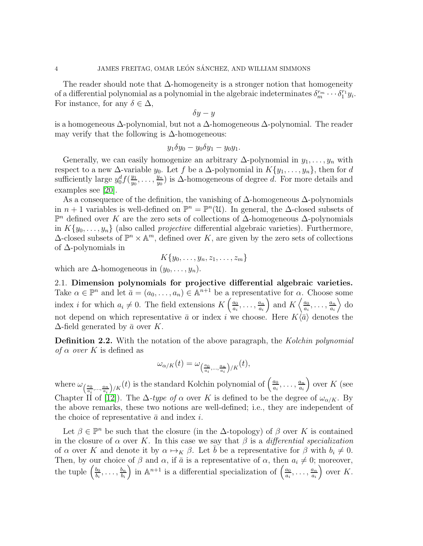The reader should note that  $\Delta$ -homogeneity is a stronger notion that homogeneity of a differential polynomial as a polynomial in the algebraic indeterminates  $\delta_m^{r_m} \cdots \delta_1^{r_1} y_i$ . For instance, for any  $\delta \in \Delta$ ,

$$
\delta y - y
$$

is a homogeneous ∆-polynomial, but not a ∆-homogeneous ∆-polynomial. The reader may verify that the following is  $\Delta$ -homogeneous:

$$
y_1 \delta y_0 - y_0 \delta y_1 - y_0 y_1.
$$

Generally, we can easily homogenize an arbitrary  $\Delta$ -polynomial in  $y_1, \ldots, y_n$  with respect to a new  $\Delta$ -variable  $y_0$ . Let f be a  $\Delta$ -polynomial in  $K\{y_1, \ldots, y_n\}$ , then for d sufficiently large  $y_0^d f(\frac{y_1}{y_0})$  $\frac{y_1}{y_0}, \ldots, \frac{y_n}{y_0}$  $\frac{y_n}{y_0}$ ) is  $\Delta$ -homogeneous of degree d. For more details and examples see [\[20\]](#page-23-1).

As a consequence of the definition, the vanishing of  $\Delta$ -homogeneous  $\Delta$ -polynomials in  $n+1$  variables is well-defined on  $\mathbb{P}^n = \mathbb{P}^n(\mathcal{U})$ . In general, the  $\Delta$ -closed subsets of  $\mathbb{P}^n$  defined over K are the zero sets of collections of  $\Delta$ -homogeneous  $\Delta$ -polynomials in  $K\{y_0, \ldots, y_n\}$  (also called *projective* differential algebraic varieties). Furthermore,  $\Delta$ -closed subsets of  $\mathbb{P}^n \times \mathbb{A}^m$ , defined over K, are given by the zero sets of collections of ∆-polynomials in

$$
K\{y_0,\ldots,y_n,z_1,\ldots,z_m\}
$$

<span id="page-3-0"></span>which are  $\Delta$ -homogeneous in  $(y_0, \ldots, y_n)$ .

2.1. Dimension polynomials for projective differential algebraic varieties. Take  $\alpha \in \mathbb{P}^n$  and let  $\bar{a} = (a_0, \ldots, a_n) \in \mathbb{A}^{n+1}$  be a representative for  $\alpha$ . Choose some index *i* for which  $a_i \neq 0$ . The field extensions  $K\left(\frac{a_0}{a_i}\right)$  $\frac{a_0}{a_i}, \ldots, \frac{a_n}{a_i}$  $a_i$ ) and  $K\left(\frac{a_0}{a_0}\right)$  $\frac{a_0}{a_i}, \ldots, \frac{a_n}{a_i}$  $a_i$  $\rangle$  do not depend on which representative  $\bar{a}$  or index i we choose. Here  $K\langle \bar{a}\rangle$  denotes the  $\Delta$ -field generated by  $\bar{a}$  over K.

**Definition 2.2.** With the notation of the above paragraph, the Kolchin polynomial of  $\alpha$  over K is defined as

$$
\omega_{\alpha/K}(t) = \omega_{\left(\frac{a_0}{a_i}, \dots, \frac{a_n}{a_i}\right)/K}(t),
$$

where  $\omega_{\left(\frac{a_0}{a_i}, \dots, \frac{a_n}{a_i}\right)/K}(t)$  is the standard Kolchin polynomial of  $\left(\frac{a_0}{a_i}\right)$  $\frac{a_0}{a_i}, \ldots, \frac{a_n}{a_i}$ ai ) over  $K$  (see Chapter II of [\[12\]](#page-22-5)). The  $\Delta$ -type of  $\alpha$  over K is defined to be the degree of  $\omega_{\alpha/K}$ . By the above remarks, these two notions are well-defined; i.e., they are independent of the choice of representative  $\bar{a}$  and index i.

Let  $\beta \in \mathbb{P}^n$  be such that the closure (in the  $\Delta$ -topology) of  $\beta$  over K is contained in the closure of  $\alpha$  over K. In this case we say that  $\beta$  is a differential specialization of  $\alpha$  over K and denote it by  $\alpha \mapsto_K \beta$ . Let  $\overline{b}$  be a representative for  $\beta$  with  $b_i \neq 0$ . Then, by our choice of  $\beta$  and  $\alpha$ , if  $\bar{a}$  is a representative of  $\alpha$ , then  $a_i \neq 0$ ; moreover, the tuple  $\left(\frac{b_0}{b_0}\right)$  $\frac{b_0}{b_i}, \ldots, \frac{b_n}{b_i}$  $b_i$ ) in  $\mathbb{A}^{n+1}$  is a differential specialization of  $\left(\frac{a_0}{a_0}\right)$  $\frac{a_0}{a_i}, \ldots, \frac{a_n}{a_i}$  $a_i$ ) over  $K$ .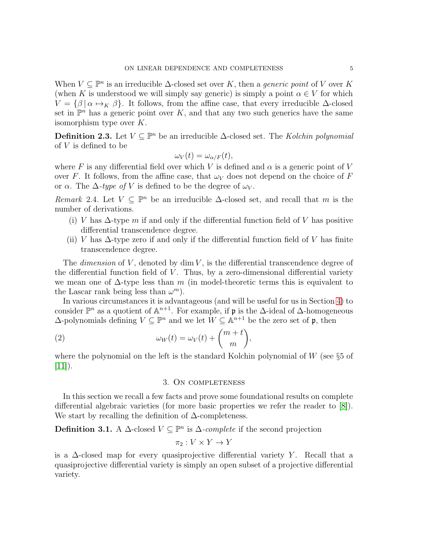When  $V \subseteq \mathbb{P}^n$  is an irreducible  $\Delta$ -closed set over K, then a *generic point* of V over K (when K is understood we will simply say generic) is simply a point  $\alpha \in V$  for which  $V = \{\beta | \alpha \mapsto_K \beta\}.$  It follows, from the affine case, that every irreducible  $\Delta$ -closed set in  $\mathbb{P}^n$  has a generic point over K, and that any two such generics have the same isomorphism type over  $K$ .

**Definition 2.3.** Let  $V \subseteq \mathbb{P}^n$  be an irreducible  $\Delta$ -closed set. The Kolchin polynomial of  $V$  is defined to be

$$
\omega_V(t) = \omega_{\alpha/F}(t),
$$

where F is any differential field over which V is defined and  $\alpha$  is a generic point of V over F. It follows, from the affine case, that  $\omega_V$  does not depend on the choice of F or  $\alpha$ . The  $\Delta$ -type of V is defined to be the degree of  $\omega_V$ .

Remark 2.4. Let  $V \subseteq \mathbb{P}^n$  be an irreducible  $\Delta$ -closed set, and recall that m is the number of derivations.

- (i) V has  $\Delta$ -type m if and only if the differential function field of V has positive differential transcendence degree.
- (ii) V has  $\Delta$ -type zero if and only if the differential function field of V has finite transcendence degree.

The *dimension* of V, denoted by  $\dim V$ , is the differential transcendence degree of the differential function field of  $V$ . Thus, by a zero-dimensional differential variety we mean one of  $\Delta$ -type less than m (in model-theoretic terms this is equivalent to the Lascar rank being less than  $\omega^m$ ).

In various circumstances it is advantageous (and will be useful for us in Section [4\)](#page-8-0) to consider  $\mathbb{P}^n$  as a quotient of  $\mathbb{A}^{n+1}$ . For example, if  $\mathfrak p$  is the  $\Delta$ -ideal of  $\Delta$ -homogeneous  $\Delta$ -polynomials defining  $V \subseteq \mathbb{P}^n$  and we let  $W \subseteq \mathbb{A}^{n+1}$  be the zero set of **p**, then

(2) 
$$
\omega_W(t) = \omega_V(t) + \binom{m+t}{m},
$$

<span id="page-4-0"></span>where the polynomial on the left is the standard Kolchin polynomial of  $W$  (see §5 of  $[11]$ ).

## <span id="page-4-1"></span>3. On completeness

In this section we recall a few facts and prove some foundational results on complete differential algebraic varieties (for more basic properties we refer the reader to [\[8\]](#page-22-3)). We start by recalling the definition of  $\Delta$ -completeness.

**Definition 3.1.** A  $\Delta$ -closed  $V \subseteq \mathbb{P}^n$  is  $\Delta$ -complete if the second projection

$$
\pi_2: V \times Y \to Y
$$

is a  $\Delta$ -closed map for every quasiprojective differential variety Y. Recall that a quasiprojective differential variety is simply an open subset of a projective differential variety.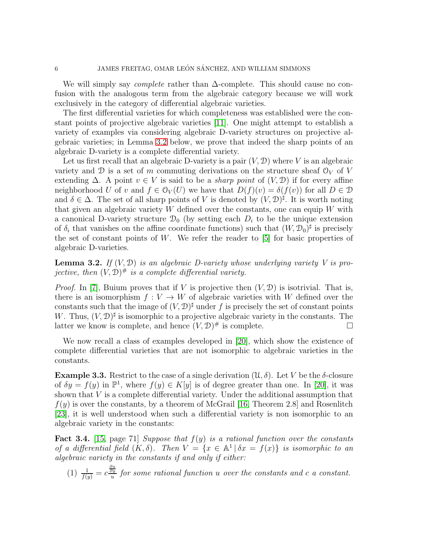We will simply say *complete* rather than  $\Delta$ -complete. This should cause no confusion with the analogous term from the algebraic category because we will work exclusively in the category of differential algebraic varieties.

The first differential varieties for which completeness was established were the constant points of projective algebraic varieties [\[11\]](#page-22-0). One might attempt to establish a variety of examples via considering algebraic D-variety structures on projective algebraic varieties; in Lemma [3.2](#page-5-0) below, we prove that indeed the sharp points of an algebraic D-variety is a complete differential variety.

Let us first recall that an algebraic D-variety is a pair  $(V, \mathcal{D})$  where V is an algebraic variety and D is a set of m commuting derivations on the structure sheaf  $\mathcal{O}_V$  of V extending  $\Delta$ . A point  $v \in V$  is said to be a *sharp point* of  $(V, \mathcal{D})$  if for every affine neighborhood U of v and  $f \in \mathcal{O}_V(U)$  we have that  $D(f)(v) = \delta(f(v))$  for all  $D \in \mathcal{D}$ and  $\delta \in \Delta$ . The set of all sharp points of V is denoted by  $(V, \mathcal{D})^{\sharp}$ . It is worth noting that given an algebraic variety  $W$  defined over the constants, one can equip  $W$  with a canonical D-variety structure  $\mathcal{D}_0$  (by setting each  $D_i$  to be the unique extension of  $\delta_i$  that vanishes on the affine coordinate functions) such that  $(W, \mathcal{D}_0)^{\sharp}$  is precisely the set of constant points of  $W$ . We refer the reader to [\[5\]](#page-22-6) for basic properties of algebraic D-varieties.

<span id="page-5-0"></span>**Lemma 3.2.** If  $(V, \mathcal{D})$  is an algebraic D-variety whose underlying variety V is projective, then  $(V, D)^\#$  is a complete differential variety.

*Proof.* In [\[7\]](#page-22-7), Buium proves that if V is projective then  $(V, \mathcal{D})$  is isotrivial. That is, there is an isomorphism  $f: V \to W$  of algebraic varieties with W defined over the constants such that the image of  $(V, \mathcal{D})^{\sharp}$  under f is precisely the set of constant points W. Thus,  $(V, \mathcal{D})^{\sharp}$  is isomorphic to a projective algebraic variety in the constants. The latter we know is complete, and hence  $(V, \mathcal{D})^{\#}$  is complete.

We now recall a class of examples developed in [\[20\]](#page-23-1), which show the existence of complete differential varieties that are not isomorphic to algebraic varieties in the constants.

<span id="page-5-1"></span>**Example 3.3.** Restrict to the case of a single derivation  $(\mathcal{U}, \delta)$ . Let V be the  $\delta$ -closure of  $\delta y = f(y)$  in  $\mathbb{P}^1$ , where  $f(y) \in K[y]$  is of degree greater than one. In [\[20\]](#page-23-1), it was shown that  $V$  is a complete differential variety. Under the additional assumption that  $f(y)$  is over the constants, by a theorem of McGrail [\[16,](#page-23-7) Theorem 2.8] and Rosenlitch [\[23\]](#page-23-8), it is well understood when such a differential variety is non isomorphic to an algebraic variety in the constants:

**Fact 3.4.** [\[15,](#page-22-8) page 71] Suppose that  $f(y)$  is a rational function over the constants of a differential field  $(K, \delta)$ . Then  $V = \{x \in \mathbb{A}^1 \mid \delta x = f(x)\}\$ is isomorphic to an algebraic variety in the constants if and only if either:

(1) 
$$
\frac{1}{f(y)} = c \frac{\frac{\partial u}{\partial y}}{u}
$$
 for some rational function u over the constants and c a constant.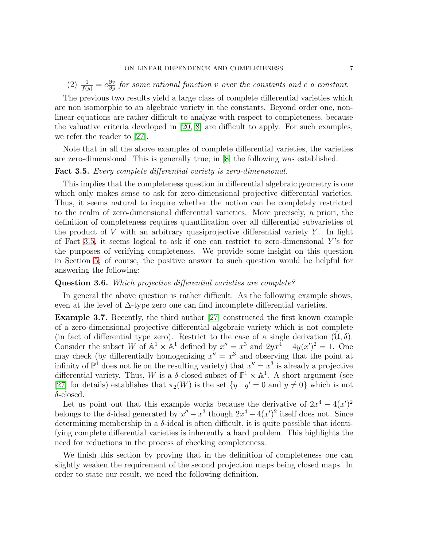(2)  $\frac{1}{f(y)} = c \frac{\partial v}{\partial y}$  for some rational function v over the constants and c a constant.

The previous two results yield a large class of complete differential varieties which are non isomorphic to an algebraic variety in the constants. Beyond order one, nonlinear equations are rather difficult to analyze with respect to completeness, because the valuative criteria developed in [\[20,](#page-23-1) [8\]](#page-22-3) are difficult to apply. For such examples, we refer the reader to [\[27\]](#page-23-2).

Note that in all the above examples of complete differential varieties, the varieties are zero-dimensional. This is generally true; in [\[8\]](#page-22-3) the following was established:

## <span id="page-6-0"></span>Fact 3.5. Every complete differential variety is zero-dimensional.

This implies that the completeness question in differential algebraic geometry is one which only makes sense to ask for zero-dimensional projective differential varieties. Thus, it seems natural to inquire whether the notion can be completely restricted to the realm of zero-dimensional differential varieties. More precisely, a priori, the definition of completeness requires quantification over all differential subvarieties of the product of  $V$  with an arbitrary quasiprojective differential variety  $Y$ . In light of Fact [3.5,](#page-6-0) it seems logical to ask if one can restrict to zero-dimensional  $Y$ 's for the purposes of verifying completeness. We provide some insight on this question in Section [5;](#page-15-0) of course, the positive answer to such question would be helpful for answering the following:

## Question 3.6. Which projective differential varieties are complete?

In general the above question is rather difficult. As the following example shows, even at the level of  $\Delta$ -type zero one can find incomplete differential varieties.

Example 3.7. Recently, the third author [\[27\]](#page-23-2) constructed the first known example of a zero-dimensional projective differential algebraic variety which is not complete (in fact of differential type zero). Restrict to the case of a single derivation  $(\mathcal{U}, \delta)$ . Consider the subset W of  $\mathbb{A}^1 \times \mathbb{A}^1$  defined by  $x'' = x^3$  and  $2yx^4 - 4y(x')^2 = 1$ . One may check (by differentially homogenizing  $x'' = x^3$  and observing that the point at infinity of  $\mathbb{P}^1$  does not lie on the resulting variety) that  $x'' = x^3$  is already a projective differential variety. Thus, W is a  $\delta$ -closed subset of  $\mathbb{P}^1 \times \mathbb{A}^1$ . A short argument (see [\[27\]](#page-23-2) for details) establishes that  $\pi_2(W)$  is the set  $\{y | y' = 0 \text{ and } y \neq 0\}$  which is not  $\delta$ -closed.

Let us point out that this example works because the derivative of  $2x^4 - 4(x')^2$ belongs to the  $\delta$ -ideal generated by  $x'' - x^3$  though  $2x^4 - 4(x')^2$  itself does not. Since determining membership in a  $\delta$ -ideal is often difficult, it is quite possible that identifying complete differential varieties is inherently a hard problem. This highlights the need for reductions in the process of checking completeness.

We finish this section by proving that in the definition of completeness one can slightly weaken the requirement of the second projection maps being closed maps. In order to state our result, we need the following definition.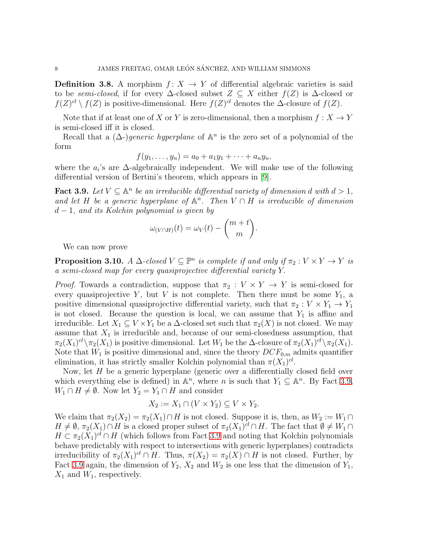**Definition 3.8.** A morphism  $f: X \rightarrow Y$  of differential algebraic varieties is said to be semi-closed, if for every  $\Delta$ -closed subset  $Z \subseteq X$  either  $f(Z)$  is  $\Delta$ -closed or  $f(Z)^{cl} \setminus f(Z)$  is positive-dimensional. Here  $f(Z)^{cl}$  denotes the  $\Delta$ -closure of  $f(Z)$ .

Note that if at least one of X or Y is zero-dimensional, then a morphism  $f: X \to Y$ is semi-closed iff it is closed.

Recall that a  $(\Delta)$ -)generic hyperplane of  $\mathbb{A}^n$  is the zero set of a polynomial of the form

$$
f(y_1,\ldots,y_n)=a_0+a_1y_1+\cdots+a_ny_n,
$$

where the  $a_i$ 's are  $\Delta$ -algebraically independent. We will make use of the following differential version of Bertini's theorem, which appears in [\[9\]](#page-22-9).

<span id="page-7-0"></span>**Fact 3.9.** Let  $V \subseteq \mathbb{A}^n$  be an irreducible differential variety of dimension d with  $d > 1$ , and let H be a generic hyperplane of  $\mathbb{A}^n$ . Then  $V \cap H$  is irreducible of dimension  $d-1$ , and its Kolchin polynomial is given by

$$
\omega_{(V \cap H)}(t) = \omega_V(t) - \binom{m+t}{m}.
$$

We can now prove

<span id="page-7-1"></span>**Proposition 3.10.** A  $\Delta$ -closed  $V \subseteq \mathbb{P}^n$  is complete if and only if  $\pi_2 : V \times Y \to Y$  is a semi-closed map for every quasiprojective differential variety Y.

*Proof.* Towards a contradiction, suppose that  $\pi_2 : V \times Y \to Y$  is semi-closed for every quasiprojective Y, but V is not complete. Then there must be some  $Y_1$ , a positive dimensional quasiprojective differential variety, such that  $\pi_2 : V \times Y_1 \to Y_1$ is not closed. Because the question is local, we can assume that  $Y_1$  is affine and irreducible. Let  $X_1 \subseteq V \times Y_1$  be a  $\Delta$ -closed set such that  $\pi_2(X)$  is not closed. We may assume that  $X_1$  is irreducible and, because of our semi-closedness assumption, that  $\pi_2(X_1)^{cl}\setminus\pi_2(X_1)$  is positive dimensional. Let  $W_1$  be the  $\Delta$ -closure of  $\pi_2(X_1)^{cl}\setminus\pi_2(X_1)$ . Note that  $W_1$  is positive dimensional and, since the theory  $DCF_{0,m}$  admits quantifier elimination, it has strictly smaller Kolchin polynomial than  $\pi(X_1)^{cl}$ .

Now, let H be a generic hyperplane (generic over a differentially closed field over which everything else is defined) in  $\mathbb{A}^n$ , where *n* is such that  $Y_1 \subseteq \mathbb{A}^n$ . By Fact [3.9,](#page-7-0)  $W_1 \cap H \neq \emptyset$ . Now let  $Y_2 = Y_1 \cap H$  and consider

$$
X_2 := X_1 \cap (V \times Y_2) \subseteq V \times Y_2.
$$

We claim that  $\pi_2(X_2) = \pi_2(X_1) \cap H$  is not closed. Suppose it is, then, as  $W_2 := W_1 \cap H$  $H \neq \emptyset$ ,  $\pi_2(X_1) \cap H$  is a closed proper subset of  $\pi_2(X_1)^{cl} \cap H$ . The fact that  $\emptyset \neq W_1 \cap$  $H \subset \pi_2(X_1)^{cl} \cap H$  (which follows from Fact [3.9](#page-7-0) and noting that Kolchin polynomials behave predictably with respect to intersections with generic hyperplanes) contradicts irreducibility of  $\pi_2(X_1)^{cl} \cap H$ . Thus,  $\pi(X_2) = \pi_2(X) \cap H$  is not closed. Further, by Fact [3.9](#page-7-0) again, the dimension of  $Y_2$ ,  $X_2$  and  $W_2$  is one less that the dimension of  $Y_1$ ,  $X_1$  and  $W_1$ , respectively.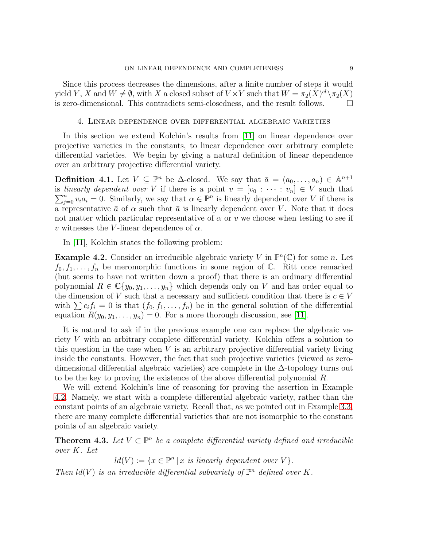Since this process decreases the dimensions, after a finite number of steps it would yield Y, X and  $W \neq \emptyset$ , with X a closed subset of  $V \times Y$  such that  $W = \pi_2(X)^{cl} \setminus \pi_2(X)$ is zero-dimensional. This contradicts semi-closedness, and the result follows.

#### 4. Linear dependence over differential algebraic varieties

<span id="page-8-0"></span>In this section we extend Kolchin's results from [\[11\]](#page-22-0) on linear dependence over projective varieties in the constants, to linear dependence over arbitrary complete differential varieties. We begin by giving a natural definition of linear dependence over an arbitrary projective differential variety.

**Definition 4.1.** Let  $V \subseteq \mathbb{P}^n$  be  $\Delta$ -closed. We say that  $\bar{a} = (a_0, \ldots, a_n) \in \mathbb{A}^{n+1}$ is linearly dependent over V if there is a point  $v = [v_0 : \cdots : v_n] \in V$  such that  $\sum_{j=0}^{n} v_i a_i = 0$ . Similarly, we say that  $\alpha \in \mathbb{P}^n$  is linearly dependent over V if there is a representative  $\bar{a}$  of  $\alpha$  such that  $\bar{a}$  is linearly dependent over V. Note that it does not matter which particular representative of  $\alpha$  or v we choose when testing to see if v witnesses the V-linear dependence of  $\alpha$ .

In [\[11\]](#page-22-0), Kolchin states the following problem:

<span id="page-8-1"></span>**Example 4.2.** Consider an irreducible algebraic variety V in  $\mathbb{P}^n(\mathbb{C})$  for some n. Let  $f_0, f_1, \ldots, f_n$  be meromorphic functions in some region of  $\mathbb{C}$ . Ritt once remarked (but seems to have not written down a proof) that there is an ordinary differential polynomial  $R \in \mathbb{C}\{y_0, y_1, \ldots, y_n\}$  which depends only on V and has order equal to the dimension of V such that a necessary and sufficient condition that there is  $c \in V$ with  $\sum c_i f_i = 0$  is that  $(f_0, f_1, \ldots, f_n)$  be in the general solution of the differential equation  $R(y_0, y_1, \ldots, y_n) = 0$ . For a more thorough discussion, see [\[11\]](#page-22-0).

It is natural to ask if in the previous example one can replace the algebraic variety V with an arbitrary complete differential variety. Kolchin offers a solution to this question in the case when V is an arbitrary projective differential variety living inside the constants. However, the fact that such projective varieties (viewed as zerodimensional differential algebraic varieties) are complete in the ∆-topology turns out to be the key to proving the existence of the above differential polynomial R.

We will extend Kolchin's line of reasoning for proving the assertion in Example [4.2.](#page-8-1) Namely, we start with a complete differential algebraic variety, rather than the constant points of an algebraic variety. Recall that, as we pointed out in Example [3.3,](#page-5-1) there are many complete differential varieties that are not isomorphic to the constant points of an algebraic variety.

<span id="page-8-2"></span>**Theorem 4.3.** Let  $V \subset \mathbb{P}^n$  be a complete differential variety defined and irreducible over K. Let

 $ld(V) := \{x \in \mathbb{P}^n \mid x \text{ is linearly dependent over } V\}.$ 

Then  $ld(V)$  is an irreducible differential subvariety of  $\mathbb{P}^n$  defined over K.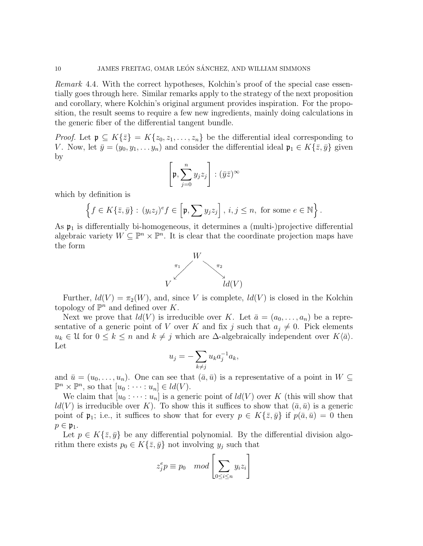Remark 4.4. With the correct hypotheses, Kolchin's proof of the special case essentially goes through here. Similar remarks apply to the strategy of the next proposition and corollary, where Kolchin's original argument provides inspiration. For the proposition, the result seems to require a few new ingredients, mainly doing calculations in the generic fiber of the differential tangent bundle.

*Proof.* Let  $\mathfrak{p} \subseteq K\{\overline{z}\}=K\{z_0, z_1, \ldots, z_n\}$  be the differential ideal corresponding to V. Now, let  $\bar{y} = (y_0, y_1, \ldots, y_n)$  and consider the differential ideal  $\mathfrak{p}_1 \in K\{\bar{z}, \bar{y}\}\$  given by

$$
\left[\mathfrak{p},\sum_{j=0}^n y_jz_j\right] : (\bar{y}\bar{z})^{\infty}
$$

which by definition is

$$
\left\{f \in K\{\bar{z},\bar{y}\} : (y_iz_j)^e f \in \left[\mathfrak{p}, \sum y_j z_j\right], i,j \leq n, \text{ for some } e \in \mathbb{N}\right\}.
$$

As  $\mathfrak{p}_1$  is differentially bi-homogeneous, it determines a (multi-)projective differential algebraic variety  $W \subseteq \mathbb{P}^n \times \mathbb{P}^n$ . It is clear that the coordinate projection maps have the form



Further,  $ld(V) = \pi_2(W)$ , and, since V is complete,  $ld(V)$  is closed in the Kolchin topology of  $\mathbb{P}^n$  and defined over K.

Next we prove that  $ld(V)$  is irreducible over K. Let  $\bar{a} = (a_0, \ldots, a_n)$  be a representative of a generic point of V over K and fix j such that  $a_j \neq 0$ . Pick elements  $u_k \in \mathcal{U}$  for  $0 \leq k \leq n$  and  $k \neq j$  which are  $\Delta$ -algebraically independent over  $K\langle \bar{a} \rangle$ . Let

$$
u_j = -\sum_{k \neq j} u_k a_j^{-1} a_k,
$$

and  $\bar{u} = (u_0, \ldots, u_n)$ . One can see that  $(\bar{a}, \bar{u})$  is a representative of a point in  $W \subseteq$  $\mathbb{P}^n \times \mathbb{P}^n$ , so that  $[u_0 : \cdots : u_n] \in ld(V)$ .

We claim that  $[u_0 : \cdots : u_n]$  is a generic point of  $ld(V)$  over K (this will show that  $ld(V)$  is irreducible over K). To show this it suffices to show that  $(\bar{a}, \bar{u})$  is a generic point of  $\mathfrak{p}_1$ ; i.e., it suffices to show that for every  $p \in K\{\bar{z}, \bar{y}\}\$ if  $p(\bar{a}, \bar{u}) = 0$  then  $p \in \mathfrak{p}_1$ .

Let  $p \in K\{\bar{z},\bar{y}\}\$  be any differential polynomial. By the differential division algorithm there exists  $p_0 \in K\{\bar{z}, \bar{y}\}\$  not involving  $y_j$  such that

$$
z_j^e p \equiv p_0 \mod \left[ \sum_{0 \le i \le n} y_i z_i \right]
$$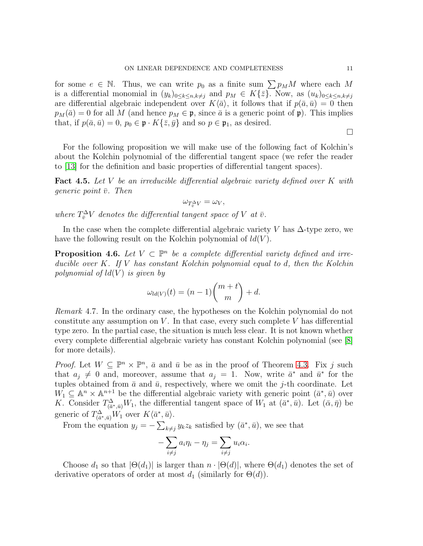for some  $e \in \mathbb{N}$ . Thus, we can write  $p_0$  as a finite sum  $\sum p_M M$  where each M is a differential monomial in  $(y_k)_{0\leq k\leq n,k\neq j}$  and  $p_M \in K\{\overline{z}\}\)$ . Now, as  $(u_k)_{0\leq k\leq n,k\neq j}$ are differential algebraic independent over  $K\langle \bar{a} \rangle$ , it follows that if  $p(\bar{a}, \bar{u}) = 0$  then  $p_M(\bar{a}) = 0$  for all M (and hence  $p_M \in \mathfrak{p}$ , since  $\bar{a}$  is a generic point of  $\mathfrak{p}$ ). This implies that, if  $p(\bar{a}, \bar{u}) = 0$ ,  $p_0 \in \mathfrak{p} \cdot K\{\bar{z}, \bar{y}\}\$ and so  $p \in \mathfrak{p}_1$ , as desired.

For the following proposition we will make use of the following fact of Kolchin's about the Kolchin polynomial of the differential tangent space (we refer the reader to [\[13\]](#page-22-10) for the definition and basic properties of differential tangent spaces).

<span id="page-10-0"></span>**Fact 4.5.** Let V be an irreducible differential algebraic variety defined over K with generic point  $\bar{v}$ . Then

 $\omega_{T^{\Delta}_\overline{v}V}=\omega_V,$ 

where  $T^{\Delta}_\overline{v}V$  denotes the differential tangent space of V at  $\overline{v}$ .

In the case when the complete differential algebraic variety V has  $\Delta$ -type zero, we have the following result on the Kolchin polynomial of  $ld(V)$ .

<span id="page-10-1"></span>**Proposition 4.6.** Let  $V \subset \mathbb{P}^n$  be a complete differential variety defined and irreducible over K. If V has constant Kolchin polynomial equal to d, then the Kolchin polynomial of  $ld(V)$  is given by

$$
\omega_{ld(V)}(t) = (n-1)\binom{m+t}{m} + d.
$$

Remark 4.7. In the ordinary case, the hypotheses on the Kolchin polynomial do not constitute any assumption on  $V$ . In that case, every such complete  $V$  has differential type zero. In the partial case, the situation is much less clear. It is not known whether every complete differential algebraic variety has constant Kolchin polynomial (see [\[8\]](#page-22-3) for more details).

*Proof.* Let  $W \subseteq \mathbb{P}^n \times \mathbb{P}^n$ ,  $\bar{a}$  and  $\bar{u}$  be as in the proof of Theorem [4.3.](#page-8-2) Fix j such that  $a_j \neq 0$  and, moreover, assume that  $a_j = 1$ . Now, write  $\bar{a}^*$  and  $\bar{u}^*$  for the tuples obtained from  $\bar{a}$  and  $\bar{u}$ , respectively, where we omit the j-th coordinate. Let  $W_1 \subseteq \mathbb{A}^n \times \mathbb{A}^{n+1}$  be the differential algebraic variety with generic point  $(\bar{a}^*, \bar{u})$  over K. Consider  $T^{\Delta}_{(\bar{a}^*, \bar{u})}W_1$ , the differential tangent space of  $W_1$  at  $(\bar{a}^*, \bar{u})$ . Let  $(\bar{\alpha}, \bar{\eta})$  be generic of  $T^{\Delta}_{(\bar{a}^*, \bar{u})}W_1$  over  $K\langle \bar{a}^*, \bar{u}\rangle$ .

From the equation  $y_j = -\sum_{k \neq j} y_k z_k$  satisfied by  $(\bar{a}^*, \bar{u})$ , we see that

$$
-\sum_{i\neq j} a_i \eta_i - \eta_j = \sum_{i\neq j} u_i \alpha_i.
$$

Choose  $d_1$  so that  $|\Theta(d_1)|$  is larger than  $n \cdot |\Theta(d)|$ , where  $\Theta(d_1)$  denotes the set of derivative operators of order at most  $d_1$  (similarly for  $\Theta(d)$ ).

 $\Box$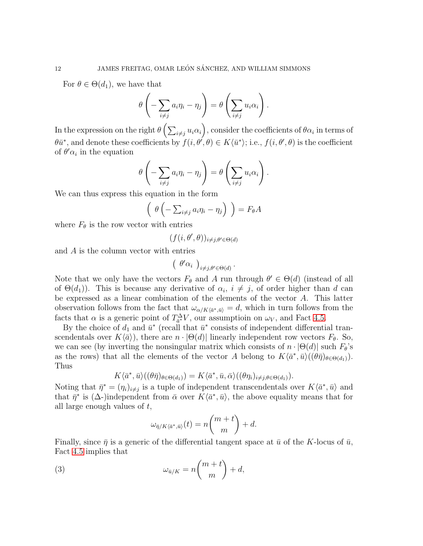For  $\theta \in \Theta(d_1)$ , we have that

$$
\theta\left(-\sum_{i\neq j}a_i\eta_i-\eta_j\right)=\theta\left(\sum_{i\neq j}u_i\alpha_i\right).
$$

In the expression on the right  $\theta\left(\sum_{i\neq j}u_i\alpha_i\right)$ , consider the coefficients of  $\theta\alpha_i$  in terms of  $\theta \bar{u}^*$ , and denote these coefficients by  $f(i, \theta', \theta) \in K\langle \bar{u}^* \rangle$ ; i.e.,  $f(i, \theta', \theta)$  is the coefficient of  $\theta' \alpha_i$  in the equation

$$
\theta\left(-\sum_{i\neq j}a_i\eta_i-\eta_j\right)=\theta\left(\sum_{i\neq j}u_i\alpha_i\right).
$$

We can thus express this equation in the form

$$
\left(\begin{array}{c}\n\theta\left(-\sum_{i\neq j} a_i \eta_i - \eta_j\right)\n\end{array}\right) = F_{\theta}A
$$

where  $F_{\theta}$  is the row vector with entries

$$
(f(i, \theta', \theta))_{i \neq j, \theta' \in \Theta(d)}
$$

and A is the column vector with entries

$$
\left(\begin{array}{c} \theta'\alpha_i \end{array}\right)_{i\neq j,\theta'\in\Theta(d)}.
$$

Note that we only have the vectors  $F_{\theta}$  and A run through  $\theta' \in \Theta(d)$  (instead of all of  $\Theta(d_1)$ ). This is because any derivative of  $\alpha_i$ ,  $i \neq j$ , of order higher than d can be expressed as a linear combination of the elements of the vector A. This latter observation follows from the fact that  $\omega_{\alpha/K\langle \bar{\alpha}^*, \bar{u}\rangle} = d$ , which in turn follows from the facts that  $\alpha$  is a generic point of  $T_{\bar{a}^*}^{\Delta}V$ , our assumptioin on  $\omega_V$ , and Fact [4.5.](#page-10-0)

By the choice of  $d_1$  and  $\bar{u}^*$  (recall that  $\bar{u}^*$  consists of independent differential transcendentals over  $K\langle \bar{a} \rangle$ , there are  $n \cdot |\Theta(d)|$  linearly independent row vectors  $F_{\theta}$ . So, we can see (by inverting the nonsingular matrix which consists of  $n \cdot |\Theta(d)|$  such  $F_{\theta}$ 's as the rows) that all the elements of the vector A belong to  $K\langle \bar{a}^*, \bar{u} \rangle ((\theta \bar{\eta})_{\theta \in \Theta(d_1)})$ . Thus

$$
K\langle \bar{a}^*, \bar{u}\rangle((\theta \bar{\eta})_{\theta \in \Theta(d_1)}) = K\langle \bar{a}^*, \bar{u}, \bar{\alpha}\rangle((\theta \eta_i)_{i \neq j, \theta \in \Theta(d_1)}).
$$

Noting that  $\bar{\eta}^* = (\eta_i)_{i \neq j}$  is a tuple of independent transcendentals over  $K\langle \bar{a}^*, \bar{u} \rangle$  and that  $\bar{\eta}^*$  is ( $\Delta$ -)independent from  $\bar{\alpha}$  over  $K\langle \bar{a}^*, \bar{u} \rangle$ , the above equality means that for all large enough values of  $t$ ,

<span id="page-11-0"></span>
$$
\omega_{\bar{\eta}/K\langle \bar{a}^*, \bar{u}\rangle}(t) = n \binom{m+t}{m} + d.
$$

Finally, since  $\bar{\eta}$  is a generic of the differential tangent space at  $\bar{u}$  of the K-locus of  $\bar{u}$ , Fact [4.5](#page-10-0) implies that

(3) 
$$
\omega_{\bar{u}/K} = n \binom{m+t}{m} + d,
$$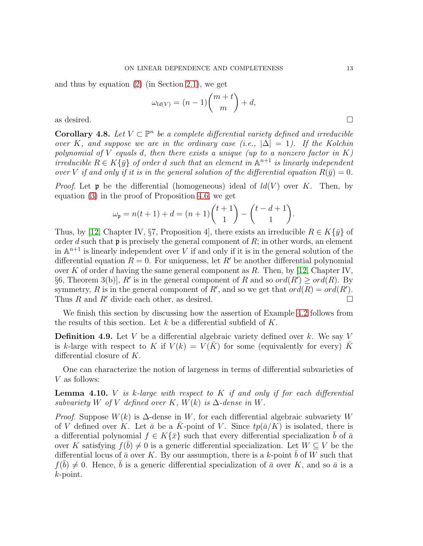and thus by equation [\(2\)](#page-4-1) (in Section [2.1\)](#page-3-0), we get

$$
\omega_{ld(V)} = (n-1) \binom{m+t}{m} + d,
$$
 as desired.

**Corollary 4.8.** Let  $V \subset \mathbb{P}^n$  be a complete differential variety defined and irreducible over K, and suppose we are in the ordinary case (i.e.,  $|\Delta| = 1$ ). If the Kolchin polynomial of V equals d, then there exists a unique (up to a nonzero factor in K) irreducible  $R \in K\{\bar{y}\}\$  of order d such that an element in  $\mathbb{A}^{n+1}$  is linearly independent over V if and only if it is in the general solution of the differential equation  $R(\bar{y}) = 0$ .

*Proof.* Let **p** be the differential (homogeneous) ideal of  $ld(V)$  over K. Then, by equation [\(3\)](#page-11-0) in the proof of Proposition [4.6,](#page-10-1) we get

$$
\omega_{\mathfrak{p}} = n(t+1) + d = (n+1) \binom{t+1}{1} - \binom{t-d+1}{1}.
$$

Thus, by [\[12,](#page-22-5) Chapter IV, §7, Proposition 4], there exists an irreducible  $R \in K\{\bar{y}\}\$  of order d such that  $\mathfrak p$  is precisely the general component of R; in other words, an element in  $\mathbb{A}^{n+1}$  is linearly independent over V if and only if it is in the general solution of the differential equation  $R = 0$ . For uniqueness, let R' be another differential polynomial over K of order d having the same general component as R. Then, by [\[12,](#page-22-5) Chapter IV, §6, Theorem 3(b)], R' is in the general component of R and so  $ord(R') \geq ord(R)$ . By symmetry, R is in the general component of R', and so we get that  $ord(R) = ord(R')$ . Thus R and R' divide each other, as desired.  $\square$ 

We finish this section by discussing how the assertion of Example [4.2](#page-8-1) follows from the results of this section. Let k be a differential subfield of  $K$ .

**Definition 4.9.** Let V be a differential algebraic variety defined over k. We say V is k-large with respect to K if  $V(k) = V(K)$  for some (equivalently for every) K differential closure of K.

One can characterize the notion of largeness in terms of differential subvarieties of V as follows:

**Lemma 4.10.** V is k-large with respect to K if and only if for each differential subvariety W of V defined over K,  $W(k)$  is  $\Delta$ -dense in W.

*Proof.* Suppose  $W(k)$  is  $\Delta$ -dense in W, for each differential algebraic subvariety W of V defined over K. Let  $\bar{a}$  be a K-point of V. Since  $tp(\bar{a}/K)$  is isolated, there is a differential polynomial  $f \in K\{\bar{x}\}\$  such that every differential specialization b of  $\bar{a}$ over K satisfying  $f(\bar{b}) \neq 0$  is a generic differential specialization. Let  $W \subseteq V$  be the differential locus of  $\bar{a}$  over K. By our assumption, there is a k-point b of W such that  $f(\bar{b}) \neq 0$ . Hence,  $\bar{b}$  is a generic differential specialization of  $\bar{a}$  over K, and so  $\bar{a}$  is a k-point.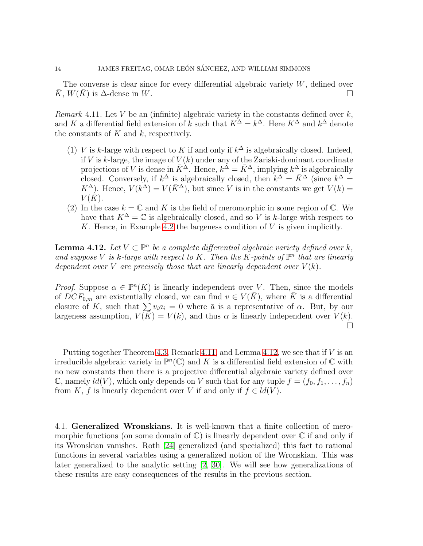The converse is clear since for every differential algebraic variety  $W$ , defined over K,  $W(K)$  is  $\Delta$ -dense in W.

<span id="page-13-1"></span>Remark 4.11. Let V be an (infinite) algebraic variety in the constants defined over  $k$ , and K a differential field extension of k such that  $K^{\Delta} = k^{\Delta}$ . Here  $K^{\Delta}$  and  $k^{\Delta}$  denote the constants of  $K$  and  $k$ , respectively.

- (1) V is k-large with respect to K if and only if  $k^{\Delta}$  is algebraically closed. Indeed, if V is k-large, the image of  $V(k)$  under any of the Zariski-dominant coordinate projections of V is dense in  $\bar{K}^{\Delta}$ . Hence,  $k^{\Delta} = \bar{K}^{\Delta}$ , implying  $k^{\Delta}$  is algebraically closed. Conversely, if  $k^{\Delta}$  is algebraically closed, then  $k^{\Delta} = \bar{K}^{\Delta}$  (since  $k^{\Delta} =$  $K^{\Delta}$ ). Hence,  $V(k^{\Delta}) = V(\bar{K}^{\Delta})$ , but since V is in the constants we get  $V(k) =$  $V(K)$ .
- (2) In the case  $k = \mathbb{C}$  and K is the field of meromorphic in some region of  $\mathbb{C}$ . We have that  $K^{\Delta} = \mathbb{C}$  is algebraically closed, and so V is k-large with respect to K. Hence, in Example [4.2](#page-8-1) the largeness condition of  $V$  is given implicitly.

<span id="page-13-2"></span>**Lemma 4.12.** Let  $V \subset \mathbb{P}^n$  be a complete differential algebraic variety defined over k, and suppose V is k-large with respect to K. Then the K-points of  $\mathbb{P}^n$  that are linearly dependent over V are precisely those that are linearly dependent over  $V(k)$ .

*Proof.* Suppose  $\alpha \in \mathbb{P}^n(K)$  is linearly independent over V. Then, since the models of  $DCF_{0,m}$  are existentially closed, we can find  $v \in V(\overline{K})$ , where  $\overline{K}$  is a differential closure of K, such that  $\sum v_i a_i = 0$  where  $\bar{a}$  is a representative of  $\alpha$ . But, by our largeness assumption,  $V(\overline{K}) = V(k)$ , and thus  $\alpha$  is linearly independent over  $V(k)$ .  $\Box$ 

Putting together Theorem [4.3,](#page-8-2) Remark [4.11,](#page-13-1) and Lemma [4.12,](#page-13-2) we see that if  $V$  is an irreducible algebraic variety in  $\mathbb{P}^n(\mathbb{C})$  and K is a differential field extension of  $\mathbb C$  with no new constants then there is a projective differential algebraic variety defined over  $\mathbb C$ , namely  $ld(V)$ , which only depends on V such that for any tuple  $f = (f_0, f_1, \ldots, f_n)$ from K, f is linearly dependent over V if and only if  $f \in ld(V)$ .

<span id="page-13-0"></span>4.1. Generalized Wronskians. It is well-known that a finite collection of meromorphic functions (on some domain of  $\mathbb{C}$ ) is linearly dependent over  $\mathbb{C}$  if and only if its Wronskian vanishes. Roth [\[24\]](#page-23-4) generalized (and specialized) this fact to rational functions in several variables using a generalized notion of the Wronskian. This was later generalized to the analytic setting [\[2,](#page-22-4) [30\]](#page-23-5). We will see how generalizations of these results are easy consequences of the results in the previous section.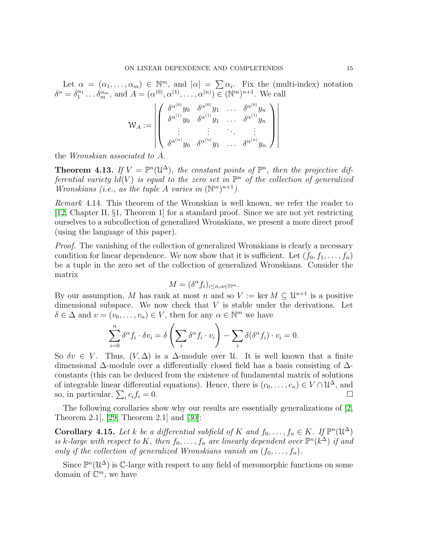Let  $\alpha = (\alpha_1, \ldots, \alpha_m) \in \mathbb{N}^m$ , and  $|\alpha| = \sum \alpha_i$ . Fix the (multi-index) notation  $\delta^{\alpha} = \delta_1^{\alpha_1} \dots \delta_m^{\alpha_m}$ , and  $A = (\alpha^{(0)}, \alpha^{(1)}, \dots, \alpha^{(n)}) \in (\mathbb{N}^m)^{n+1}$ . We call

$$
\mathcal{W}_A := \left|\left( \begin{array}{cccc} \delta^{\alpha^{(0)}}y_0 & \delta^{\alpha^{(0)}}y_1 & \dots & \delta^{\alpha^{(0)}}y_n \\ \delta^{\alpha^{(1)}}y_0 & \delta^{\alpha^{(1)}}y_1 & \dots & \delta^{\alpha^{(1)}}y_n \\ \vdots & \vdots & \ddots & \vdots \\ \delta^{\alpha^{(n)}}y_0 & \delta^{\alpha^{(n)}}y_1 & \dots & \delta^{\alpha^{(n)}}y_n \end{array} \right) \right|
$$

the Wronskian associated to A.

**Theorem 4.13.** If  $V = \mathbb{P}^n(\mathcal{U}^{\Delta})$ , the constant points of  $\mathbb{P}^n$ , then the projective differential variety  $ld(V)$  is equal to the zero set in  $\mathbb{P}^n$  of the collection of generalized Wronskians (i.e., as the tuple A varies in  $(\mathbb{N}^m)^{n+1}$ ).

Remark 4.14. This theorem of the Wronskian is well known, we refer the reader to [\[12,](#page-22-5) Chapter II, §1, Theorem 1] for a standard proof. Since we are not yet restricting ourselves to a subcollection of generalized Wronskians, we present a more direct proof (using the language of this paper).

Proof. The vanishing of the collection of generalized Wronskians is clearly a necessary condition for linear dependence. We now show that it is sufficient. Let  $(f_0, f_1, \ldots, f_n)$ be a tuple in the zero set of the collection of generalized Wronskians. Consider the matrix

$$
M = (\delta^{\alpha} f_i)_{i \le n, \alpha \in \mathbb{N}^m}.
$$

By our assumption, M has rank at most n and so  $V := \ker M \subseteq \mathcal{U}^{n+1}$  is a positive dimensional subspace. We now check that  $V$  is stable under the derivations. Let  $\delta \in \Delta$  and  $v = (v_0, \ldots, v_n) \in V$ , then for any  $\alpha \in \mathbb{N}^m$  we have

$$
\sum_{i=0}^n \delta^\alpha f_i \cdot \delta v_i = \delta \left( \sum_i \delta^\alpha f_i \cdot v_i \right) - \sum_i \delta(\delta^\alpha f_i) \cdot v_i = 0.
$$

So  $\delta v \in V$ . Thus,  $(V, \Delta)$  is a  $\Delta$ -module over U. It is well known that a finite dimensional ∆-module over a differentially closed field has a basis consisting of ∆ constants (this can be deduced from the existence of fundamental matrix of solutions of integrable linear differential equations). Hence, there is  $(c_0, \ldots, c_n) \in V \cap \mathcal{U}^{\Delta}$ , and so, in particular,  $\sum_i$  $c_i f_i = 0.$ 

The following corollaries show why our results are essentially generalizations of [\[2,](#page-22-4) Theorem 2.1], [\[29,](#page-23-9) Theorem 2.1] and [\[30\]](#page-23-5):

**Corollary 4.15.** Let k be a differential subfield of K and  $f_0, \ldots, f_n \in K$ . If  $\mathbb{P}^n(\mathcal{U}^{\Delta})$ is k-large with respect to K, then  $f_0, \ldots, f_n$  are linearly dependent over  $\mathbb{P}^n(k^{\Delta})$  if and only if the collection of generalized Wronskians vanish on  $(f_0, \ldots, f_n)$ .

Since  $\mathbb{P}^n(\mathcal{U}^{\Delta})$  is C-large with respect to any field of meromorphic functions on some domain of  $\mathbb{C}^m$ , we have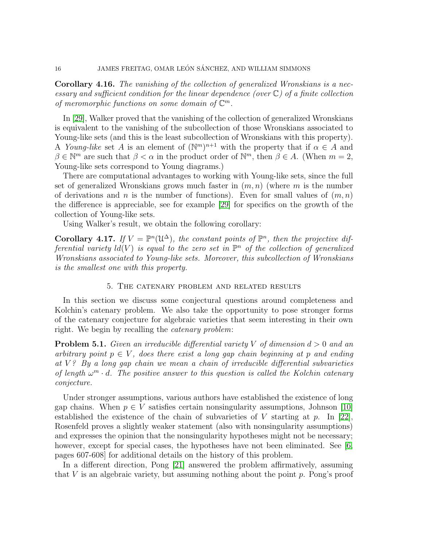Corollary 4.16. The vanishing of the collection of generalized Wronskians is a necessary and sufficient condition for the linear dependence (over  $\mathbb{C}$ ) of a finite collection of meromorphic functions on some domain of  $\mathbb{C}^m$ .

In [\[29\]](#page-23-9), Walker proved that the vanishing of the collection of generalized Wronskians is equivalent to the vanishing of the subcollection of those Wronskians associated to Young-like sets (and this is the least subcollection of Wronskians with this property). A Young-like set A is an element of  $(\mathbb{N}^m)^{n+1}$  with the property that if  $\alpha \in A$  and  $\beta \in \mathbb{N}^m$  are such that  $\beta < \alpha$  in the product order of  $\mathbb{N}^m$ , then  $\beta \in A$ . (When  $m = 2$ , Young-like sets correspond to Young diagrams.)

There are computational advantages to working with Young-like sets, since the full set of generalized Wronskians grows much faster in  $(m, n)$  (where m is the number of derivations and n is the number of functions). Even for small values of  $(m, n)$ the difference is appreciable, see for example [\[29\]](#page-23-9) for specifics on the growth of the collection of Young-like sets.

Using Walker's result, we obtain the following corollary:

Corollary 4.17. If  $V = \mathbb{P}^n(\mathfrak{U}^{\Delta})$ , the constant points of  $\mathbb{P}^n$ , then the projective differential variety  $ld(V)$  is equal to the zero set in  $\mathbb{P}^n$  of the collection of generalized Wronskians associated to Young-like sets. Moreover, this subcollection of Wronskians is the smallest one with this property.

### 5. The catenary problem and related results

<span id="page-15-0"></span>In this section we discuss some conjectural questions around completeness and Kolchin's catenary problem. We also take the opportunity to pose stronger forms of the catenary conjecture for algebraic varieties that seem interesting in their own right. We begin by recalling the catenary problem:

**Problem 5.1.** Given an irreducible differential variety V of dimension  $d > 0$  and an arbitrary point  $p \in V$ , does there exist a long gap chain beginning at p and ending at  $V$ ? By a long gap chain we mean a chain of irreducible differential subvarieties of length  $\omega^m \cdot d$ . The positive answer to this question is called the Kolchin catenary conjecture.

Under stronger assumptions, various authors have established the existence of long gap chains. When  $p \in V$  satisfies certain nonsingularity assumptions, Johnson [\[10\]](#page-22-11) established the existence of the chain of subvarieties of V starting at  $p$ . In [\[22\]](#page-23-10), Rosenfeld proves a slightly weaker statement (also with nonsingularity assumptions) and expresses the opinion that the nonsingularity hypotheses might not be necessary; however, except for special cases, the hypotheses have not been eliminated. See [\[6,](#page-22-12) pages 607-608] for additional details on the history of this problem.

In a different direction, Pong [\[21\]](#page-23-11) answered the problem affirmatively, assuming that  $V$  is an algebraic variety, but assuming nothing about the point  $p$ . Pong's proof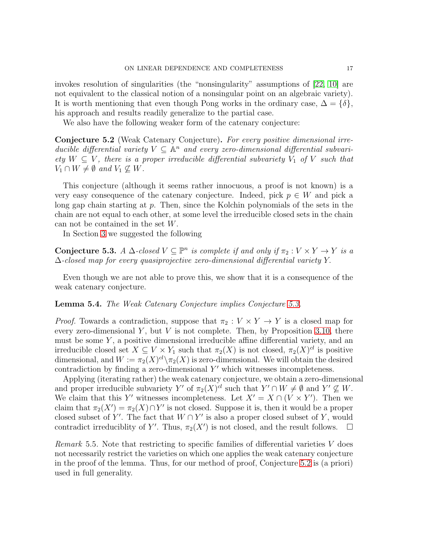invokes resolution of singularities (the "nonsingularity" assumptions of [\[22,](#page-23-10) [10\]](#page-22-11) are not equivalent to the classical notion of a nonsingular point on an algebraic variety). It is worth mentioning that even though Pong works in the ordinary case,  $\Delta = \{\delta\},\$ his approach and results readily generalize to the partial case.

We also have the following weaker form of the catenary conjecture:

<span id="page-16-1"></span>Conjecture 5.2 (Weak Catenary Conjecture). For every positive dimensional irreducible differential variety  $V \subseteq \mathbb{A}^n$  and every zero-dimensional differential subvariety  $W \subseteq V$ , there is a proper irreducible differential subvariety  $V_1$  of V such that  $V_1 \cap W \neq \emptyset$  and  $V_1 \nsubseteq W$ .

This conjecture (although it seems rather innocuous, a proof is not known) is a very easy consequence of the catenary conjecture. Indeed, pick  $p \in W$  and pick a long gap chain starting at p. Then, since the Kolchin polynomials of the sets in the chain are not equal to each other, at some level the irreducible closed sets in the chain can not be contained in the set W.

In Section [3](#page-4-0) we suggested the following

<span id="page-16-0"></span>**Conjecture 5.3.** A  $\Delta$ -closed  $V \subseteq \mathbb{P}^n$  is complete if and only if  $\pi_2 : V \times Y \to Y$  is a ∆-closed map for every quasiprojective zero-dimensional differential variety Y.

Even though we are not able to prove this, we show that it is a consequence of the weak catenary conjecture.

Lemma 5.4. The Weak Catenary Conjecture implies Conjecture [5.3.](#page-16-0)

*Proof.* Towards a contradiction, suppose that  $\pi_2 : V \times Y \to Y$  is a closed map for every zero-dimensional  $Y$ , but  $V$  is not complete. Then, by Proposition [3.10,](#page-7-1) there must be some  $Y$ , a positive dimensional irreducible affine differential variety, and an irreducible closed set  $X \subseteq V \times Y_1$  such that  $\pi_2(X)$  is not closed,  $\pi_2(X)^{cl}$  is positive dimensional, and  $W := \pi_2(X)^{cl} \setminus \pi_2(X)$  is zero-dimensional. We will obtain the desired contradiction by finding a zero-dimensional  $Y'$  which witnesses incompleteness.

Applying (iterating rather) the weak catenary conjecture, we obtain a zero-dimensional and proper irreducible subvariety Y' of  $\pi_2(X)^{cl}$  such that  $Y' \cap W \neq \emptyset$  and  $Y' \nsubseteq W$ . We claim that this Y' witnesses incompleteness. Let  $X' = X \cap (V \times Y')$ . Then we claim that  $\pi_2(X') = \pi_2(X) \cap Y'$  is not closed. Suppose it is, then it would be a proper closed subset of Y'. The fact that  $W \cap Y'$  is also a proper closed subset of Y, would contradict irreduciblity of Y'. Thus,  $\pi_2(X')$  is not closed, and the result follows.  $\Box$ 

Remark 5.5. Note that restricting to specific families of differential varieties V does not necessarily restrict the varieties on which one applies the weak catenary conjecture in the proof of the lemma. Thus, for our method of proof, Conjecture [5.2](#page-16-1) is (a priori) used in full generality.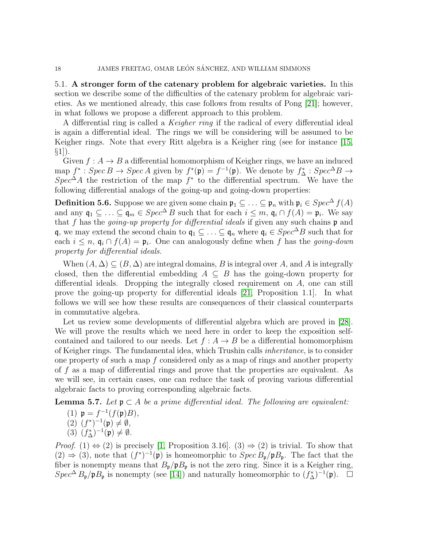5.1. A stronger form of the catenary problem for algebraic varieties. In this section we describe some of the difficulties of the catenary problem for algebraic varieties. As we mentioned already, this case follows from results of Pong [\[21\]](#page-23-11); however, in what follows we propose a different approach to this problem.

A differential ring is called a Keigher ring if the radical of every differential ideal is again a differential ideal. The rings we will be considering will be assumed to be Keigher rings. Note that every Ritt algebra is a Keigher ring (see for instance [\[15,](#page-22-8)  $\S1$ ).

Given  $f : A \to B$  a differential homomorphism of Keigher rings, we have an induced map  $f^*: Spec B \to Spec A$  given by  $f^*(\mathfrak{p}) = f^{-1}(\mathfrak{p})$ . We denote by  $f^*_{\Delta}: Spec^{\Delta}B \to$  $Spec^{\Delta}A$  the restriction of the map  $f^*$  to the differential spectrum. We have the following differential analogs of the going-up and going-down properties:

**Definition 5.6.** Suppose we are given some chain  $\mathfrak{p}_1 \subseteq \ldots \subseteq \mathfrak{p}_n$  with  $\mathfrak{p}_i \in Spec^{\Delta} f(A)$ and any  $\mathfrak{q}_1 \subseteq \ldots \subseteq \mathfrak{q}_m \in Spec^{\Delta}B$  such that for each  $i \leq m$ ,  $\mathfrak{q}_i \cap f(A) = \mathfrak{p}_i$ . We say that f has the *going-up property for differential ideals* if given any such chains  $\mathfrak p$  and q, we may extend the second chain to  $\mathfrak{q}_1 \subseteq \ldots \subseteq \mathfrak{q}_n$  where  $\mathfrak{q}_i \in Spec^{\Delta}B$  such that for each  $i \leq n$ ,  $\mathfrak{q}_i \cap f(A) = \mathfrak{p}_i$ . One can analogously define when f has the *going-down* property for differential ideals.

When  $(A, \Delta) \subseteq (B, \Delta)$  are integral domains, B is integral over A, and A is integrally closed, then the differential embedding  $A \subseteq B$  has the going-down property for differential ideals. Dropping the integrally closed requirement on A, one can still prove the going-up property for differential ideals [\[21,](#page-23-11) Proposition 1.1]. In what follows we will see how these results are consequences of their classical counterparts in commutative algebra.

Let us review some developments of differential algebra which are proved in [\[28\]](#page-23-6). We will prove the results which we need here in order to keep the exposition selfcontained and tailored to our needs. Let  $f : A \rightarrow B$  be a differential homomorphism of Keigher rings. The fundamental idea, which Trushin calls inheritance, is to consider one property of such a map  $f$  considered only as a map of rings and another property of f as a map of differential rings and prove that the properties are equivalent. As we will see, in certain cases, one can reduce the task of proving various differential algebraic facts to proving corresponding algebraic facts.

**Lemma 5.7.** Let  $\mathfrak{p} \subset A$  be a prime differential ideal. The following are equivalent:

- (1)  $p = f^{-1}(f(p)B)$ ,
- $(2)$   $(f^*)^{-1}(\mathfrak{p}) \neq \emptyset$ ,
- (3)  $(f_{\Delta}^*)^{-1}(\mathfrak{p}) \neq \emptyset$ .

*Proof.* (1)  $\Leftrightarrow$  (2) is precisely [\[1,](#page-22-13) Proposition 3.16]. (3)  $\Rightarrow$  (2) is trivial. To show that  $(2) \Rightarrow (3)$ , note that  $(f^*)^{-1}(\mathfrak{p})$  is homeomorphic to  $Spec B_{\mathfrak{p}}/\mathfrak{p}B_{\mathfrak{p}}$ . The fact that the fiber is nonempty means that  $B_{\mathfrak{p}}/\mathfrak{p}B_{\mathfrak{p}}$  is not the zero ring. Since it is a Keigher ring,  $Spec^{\Delta} B_{\mathfrak{p}}/\mathfrak{p}B_{\mathfrak{p}}$  is nonempty (see [\[14\]](#page-22-14)) and naturally homeomorphic to  $(f_{\Delta}^*)^{-1}(\mathfrak{p})$ .  $\Box$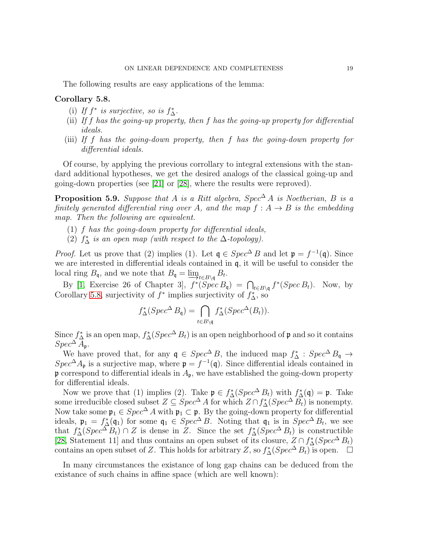The following results are easy applications of the lemma:

### <span id="page-18-0"></span>Corollary 5.8.

- (i) If  $f^*$  is surjective, so is  $f^*_{\Delta}$ .
- (ii) If  $f$  has the going-up property, then  $f$  has the going-up property for differential ideals.
- (iii) If f has the going-down property, then f has the going-down property for differential ideals.

Of course, by applying the previous corrollary to integral extensions with the standard additional hypotheses, we get the desired analogs of the classical going-up and going-down properties (see [\[21\]](#page-23-11) or [\[28\]](#page-23-6), where the results were reproved).

<span id="page-18-1"></span>**Proposition 5.9.** Suppose that A is a Ritt algebra,  $Spec^{\Delta} A$  is Noetherian, B is a finitely generated differential ring over A, and the map  $f : A \rightarrow B$  is the embedding map. Then the following are equivalent.

- $(1)$  f has the going-down property for differential ideals,
- (2)  $f^*_{\Delta}$  is an open map (with respect to the  $\Delta$ -topology).

*Proof.* Let us prove that (2) implies (1). Let  $\mathfrak{q} \in Spec^{\Delta} B$  and let  $\mathfrak{p} = f^{-1}(\mathfrak{q})$ . Since we are interested in differential ideals contained in q, it will be useful to consider the local ring  $B_{\mathfrak{q}}$ , and we note that  $B_{\mathfrak{q}} = \varinjlim_{t \in B \setminus \mathfrak{q}} B_t$ .

By [\[1,](#page-22-13) Exercise 26 of Chapter 3],  $f^*(Spec B_{\mathfrak{q}}) = \bigcap_{t \in B \setminus \mathfrak{q}} f^*(Spec B_t)$ . Now, by Corollary [5.8,](#page-18-0) surjectivity of  $f^*$  implies surjectivity of  $f^*_{\Delta}$ , so

$$
f_{\Delta}^*(Spec^{\Delta} B_{\mathfrak{q}}) = \bigcap_{t \in B \backslash \mathfrak{q}} f_{\Delta}^*(Spec^{\Delta}(B_t)).
$$

Since  $f^*_{\Delta}$  is an open map,  $f^*_{\Delta}(Spec^{\Delta}B_t)$  is an open neighborhood of  $\mathfrak p$  and so it contains  $Spec^{\Delta} A_{\mathfrak{p}}.$ 

We have proved that, for any  $\mathfrak{q} \in Spec^{\Delta} B$ , the induced map  $f_{\Delta}^* : Spec^{\Delta} B_{\mathfrak{q}} \to$  $Spec^{\Delta} A_{\mathfrak{p}}$  is a surjective map, where  $\mathfrak{p} = f^{-1}(\mathfrak{q})$ . Since differential ideals contained in  $\mathfrak p$  correspond to differential ideals in  $A_{\mathfrak p}$ , we have established the going-down property for differential ideals.

Now we prove that (1) implies (2). Take  $\mathfrak{p} \in f_{\Delta}^*(Spec^{\Delta}B_t)$  with  $f_{\Delta}^*(\mathfrak{q}) = \mathfrak{p}$ . Take some irreducible closed subset  $Z \subseteq Spec^{\Delta} A$  for which  $Z \cap f_{\Delta}^*(Spec^{\Delta} B_t)$  is nonempty. Now take some  $\mathfrak{p}_1 \in Spec^{\Delta} A$  with  $\mathfrak{p}_1 \subset \mathfrak{p}$ . By the going-down property for differential ideals,  $\mathfrak{p}_1 = f^*_{\Delta}(\mathfrak{q}_1)$  for some  $\mathfrak{q}_1 \in Spec^{\Delta} B$ . Noting that  $\mathfrak{q}_1$  is in  $Spec^{\Delta} B_t$ , we see that  $f_{\Delta}^*(Spec^{\Delta} B_t) \cap Z$  is dense in Z. Since the set  $f_{\Delta}^*(Spec^{\Delta} B_t)$  is constructible [\[28,](#page-23-6) Statement 11] and thus contains an open subset of its closure,  $Z \cap f_{\Delta}^*(Spec^{\Delta} B_t)$ contains an open subset of Z. This holds for arbitrary Z, so  $f^*_{\Delta}(Spec^{\Delta}B_t)$  is open.  $\Box$ 

In many circumstances the existance of long gap chains can be deduced from the existance of such chains in affine space (which are well known):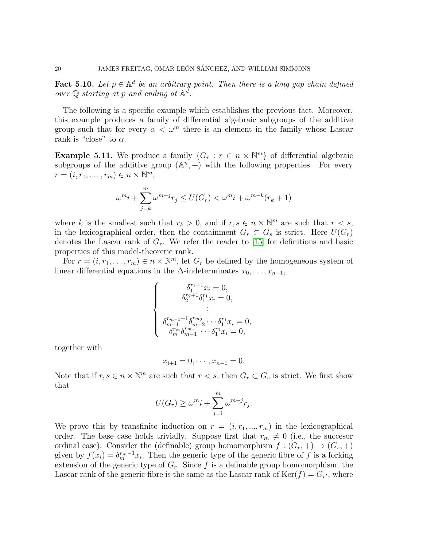<span id="page-19-0"></span>**Fact 5.10.** Let  $p \in \mathbb{A}^d$  be an arbitrary point. Then there is a long gap chain defined over  $\mathbb Q$  starting at p and ending at  $\mathbb A^d$ .

The following is a specific example which establishes the previous fact. Moreover, this example produces a family of differential algebraic subgroups of the additive group such that for every  $\alpha < \omega^m$  there is an element in the family whose Lascar rank is "close" to  $\alpha$ .

**Example 5.11.** We produce a family  $\{G_r : r \in n \times \mathbb{N}^m\}$  of differential algebraic subgroups of the additive group  $(\mathbb{A}^n, +)$  with the following properties. For every  $r = (i, r_1, \ldots, r_m) \in n \times \mathbb{N}^m$ ,

$$
\omega^m i + \sum_{j=k}^m \omega^{m-j} r_j \le U(G_r) < \omega^m i + \omega^{m-k}(r_k + 1)
$$

where k is the smallest such that  $r_k > 0$ , and if  $r, s \in n \times \mathbb{N}^m$  are such that  $r < s$ , in the lexicographical order, then the containment  $G_r \subset G_s$  is strict. Here  $U(G_r)$ denotes the Lascar rank of  $G_r$ . We refer the reader to [\[15\]](#page-22-8) for definitions and basic properties of this model-theoretic rank.

For  $r = (i, r_1, \ldots, r_m) \in n \times \mathbb{N}^m$ , let  $G_r$  be defined by the homogeneous system of linear differential equations in the  $\Delta$ -indeterminates  $x_0, \ldots, x_{n-1}$ ,

$$
\begin{cases}\n\delta_1^{r_1+1}x_i = 0, \\
\delta_2^{r_2+1}\delta_1^{r_1}x_i = 0, \\
\vdots \\
\delta_{m-1}^{r_{m-1}+1}\delta_{m-2}^{r_{m_2}}\cdots\delta_1^{r_1}x_i = 0, \\
\delta_m^{r_m}\delta_{m-1}^{r_{m-1}}\cdots\delta_1^{r_1}x_i = 0,\n\end{cases}
$$

together with

$$
x_{i+1} = 0, \cdots, x_{n-1} = 0.
$$

Note that if  $r, s \in n \times \mathbb{N}^m$  are such that  $r < s$ , then  $G_r \subset G_s$  is strict. We first show that

$$
U(G_r) \ge \omega^m i + \sum_{j=1}^m \omega^{m-j} r_j.
$$

We prove this by transfinite induction on  $r = (i, r_1, ..., r_m)$  in the lexicographical order. The base case holds trivially. Suppose first that  $r_m \neq 0$  (i.e., the succesor ordinal case). Consider the (definable) group homomorphism  $f:(G_r,+) \to (G_r,+)$ given by  $f(x_i) = \delta_m^{r_m-1} x_i$ . Then the generic type of the generic fibre of f is a forking extension of the generic type of  $G_r$ . Since f is a definable group homomorphism, the Lascar rank of the generic fibre is the same as the Lascar rank of  $\text{Ker}(f) = G_{r'}$ , where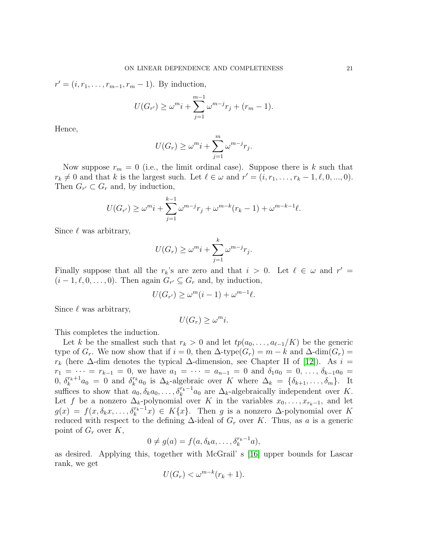$r' = (i, r_1, \ldots, r_{m-1}, r_m - 1)$ . By induction,

$$
U(G_{r'}) \ge \omega^m i + \sum_{j=1}^{m-1} \omega^{m-j} r_j + (r_m - 1).
$$

Hence,

$$
U(G_r) \ge \omega^m i + \sum_{j=1}^m \omega^{m-j} r_j.
$$

Now suppose  $r_m = 0$  (i.e., the limit ordinal case). Suppose there is k such that  $r_k \neq 0$  and that k is the largest such. Let  $\ell \in \omega$  and  $r' = (i, r_1, \ldots, r_k - 1, \ell, 0, \ldots, 0)$ . Then  $G_{r'} \subset G_r$  and, by induction,

$$
U(G_{r'}) \ge \omega^m i + \sum_{j=1}^{k-1} \omega^{m-j} r_j + \omega^{m-k} (r_k - 1) + \omega^{m-k-1} \ell.
$$

Since  $\ell$  was arbitrary,

$$
U(G_r) \ge \omega^m i + \sum_{j=1}^k \omega^{m-j} r_j.
$$

Finally suppose that all the  $r_k$ 's are zero and that  $i > 0$ . Let  $\ell \in \omega$  and  $r' =$  $(i-1,\ell,0,\ldots,0)$ . Then again  $G_{r'} \subseteq G_r$  and, by induction,

$$
U(G_{r'}) \ge \omega^m(i-1) + \omega^{m-1}\ell.
$$

Since  $\ell$  was arbitrary,

$$
U(G_r) \ge \omega^m i.
$$

This completes the induction.

Let k be the smallest such that  $r_k > 0$  and let  $tp(a_0, \ldots, a_{\ell-1}/K)$  be the generic type of  $G_r$ . We now show that if  $i = 0$ , then  $\Delta$ -type $(G_r) = m - k$  and  $\Delta$ -dim $(G_r) =$  $r_k$  (here  $\Delta$ -dim denotes the typical  $\Delta$ -dimension, see Chapter II of [\[12\]](#page-22-5)). As  $i =$  $r_1 = \cdots = r_{k-1} = 0$ , we have  $a_1 = \cdots = a_{n-1} = 0$  and  $\delta_1 a_0 = 0, \ldots, \delta_{k-1} a_0 = 0$ 0,  $\delta_k^{r_k+1} a_0 = 0$  and  $\delta_k^{r_k}$  $k_k^{r_k}$  a<sub>0</sub> is  $\Delta_k$ -algebraic over K where  $\Delta_k = {\delta_{k+1}, \ldots, \delta_m}$ . It suffices to show that  $a_0, \delta_k a_0, \ldots, \delta_k^{r_k-1} a_0$  are  $\Delta_k$ -algebraically independent over K. Let f be a nonzero  $\Delta_k$ -polynomial over K in the variables  $x_0, \ldots, x_{r_k-1}$ , and let  $g(x) = f(x, \delta_k x, \dots, \delta_k^{r_k-1} x) \in K\{x\}.$  Then g is a nonzero  $\Delta$ -polynomial over K reduced with respect to the defining  $\Delta$ -ideal of  $G_r$  over K. Thus, as a is a generic point of  $G_r$  over  $K$ ,

$$
0 \neq g(a) = f(a, \delta_k a, \dots, \delta_k^{r_k - 1} a),
$$

as desired. Applying this, together with McGrail' s [\[16\]](#page-23-7) upper bounds for Lascar rank, we get

$$
U(G_r) < \omega^{m-k}(r_k+1).
$$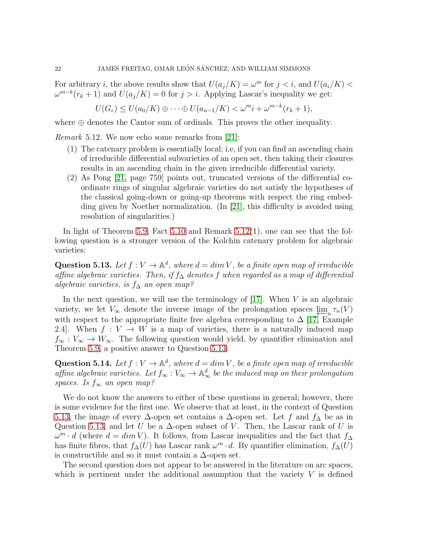For arbitrary *i*, the above results show that  $U(a_j/K) = \omega^m$  for  $j < i$ , and  $U(a_i/K)$  $\omega^{m-k}(r_k+1)$  and  $U(a_j/K)=0$  for  $j>i$ . Applying Lascar's inequality we get:

$$
U(G_r) \le U(a_0/K) \oplus \cdots \oplus U(a_{n-1}/K) < \omega^m i + \omega^{m-k}(r_k+1),
$$

where  $\oplus$  denotes the Cantor sum of ordinals. This proves the other inequality.

<span id="page-21-0"></span>Remark 5.12. We now echo some remarks from [\[21\]](#page-23-11):

- (1) The catenary problem is essentially local; i.e, if you can find an ascending chain of irreducible differential subvarieties of an open set, then taking their closures results in an ascending chain in the given irreducible differential variety.
- (2) As Pong [\[21,](#page-23-11) page 759] points out, truncated versions of the differential coordinate rings of singular algebraic varieties do not satisfy the hypotheses of the classical going-down or going-up theorems with respect the ring embedding given by Noether normalization. (In [\[21\]](#page-23-11), this difficulty is avoided using resolution of singularities.)

In light of Theorem [5.9,](#page-18-1) Fact [5.10](#page-19-0) and Remark [5.12\(](#page-21-0)1), one can see that the following question is a stronger version of the Kolchin catenary problem for algebraic varieties:

<span id="page-21-1"></span>**Question 5.13.** Let  $f: V \to \mathbb{A}^d$ , where  $d = \dim V$ , be a finite open map of irreducible affine algebraic varieties. Then, if  $f_{\Delta}$  denotes f when regarded as a map of differential algebraic varieties, is  $f_\Delta$  an open map?

In the next question, we will use the terminology of  $[17]$ . When V is an algebraic variety, we let  $V_{\infty}$  denote the inverse image of the prolongation spaces  $\lim_{n \to \infty} \tau_n(V)$ with respect to the appropriate finite free algebra corresponding to  $\Delta$  [\[17,](#page-23-12) Example 2.4. When  $f: V \to W$  is a map of varieties, there is a naturally induced map  $f_{\infty}: V_{\infty} \to W_{\infty}$ . The following question would yield, by quantifier elimination and Theorem [5.9,](#page-18-1) a positive answer to Question [5.13:](#page-21-1)

**Question 5.14.** Let  $f: V \to \mathbb{A}^d$ , where  $d = \dim V$ , be a finite open map of irreducible affine algebraic varieties. Let  $f_{\infty}: V_{\infty} \to \mathbb{A}_{\infty}^d$  be the induced map on their prolongation spaces. Is  $f_{\infty}$  an open map?

We do not know the answers to either of these questions in general; however, there is some evidence for the first one. We observe that at least, in the context of Question [5.13,](#page-21-1) the image of every  $\Delta$ -open set contains a  $\Delta$ -open set. Let f and  $f_{\Delta}$  be as in Question [5.13,](#page-21-1) and let U be a  $\Delta$ -open subset of V. Then, the Lascar rank of U is  $\omega^m \cdot d$  (where  $d = \dim V$ ). It follows, from Lascar inequalities and the fact that  $f_{\Delta}$ has finite fibres, that  $f_∆(U)$  has Lascar rank  $\omega^m \cdot d$ . By quantifier elimination,  $f_∆(U)$ is constructible and so it must contain a  $\Delta$ -open set.

The second question does not appear to be answered in the literature on arc spaces, which is pertinent under the additional assumption that the variety  $V$  is defined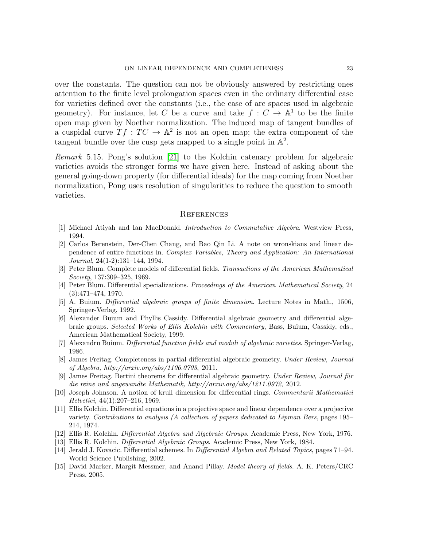over the constants. The question can not be obviously answered by restricting ones attention to the finite level prolongation spaces even in the ordinary differential case for varieties defined over the constants (i.e., the case of arc spaces used in algebraic geometry). For instance, let C be a curve and take  $f: C \to \mathbb{A}^1$  to be the finite open map given by Noether normalization. The induced map of tangent bundles of a cuspidal curve  $Tf:TC \to \mathbb{A}^2$  is not an open map; the extra component of the tangent bundle over the cusp gets mapped to a single point in  $\mathbb{A}^2$ .

Remark 5.15. Pong's solution [\[21\]](#page-23-11) to the Kolchin catenary problem for algebraic varieties avoids the stronger forms we have given here. Instead of asking about the general going-down property (for differential ideals) for the map coming from Noether normalization, Pong uses resolution of singularities to reduce the question to smooth varieties.

### **REFERENCES**

- <span id="page-22-13"></span><span id="page-22-4"></span>[1] Michael Atiyah and Ian MacDonald. Introduction to Commutative Algebra. Westview Press, 1994.
- [2] Carlos Berenstein, Der-Chen Chang, and Bao Qin Li. A note on wronskians and linear dependence of entire functions in. Complex Variables, Theory and Application: An International Journal, 24(1-2):131–144, 1994.
- <span id="page-22-1"></span>[3] Peter Blum. Complete models of differential fields. Transactions of the American Mathematical Society, 137:309–325, 1969.
- <span id="page-22-2"></span>[4] Peter Blum. Differential specializations. Proceedings of the American Mathematical Society, 24 (3):471–474, 1970.
- <span id="page-22-12"></span><span id="page-22-6"></span>[5] A. Buium. Differential algebraic groups of finite dimension. Lecture Notes in Math., 1506, Springer-Verlag, 1992.
- [6] Alexander Buium and Phyllis Cassidy. Differential algebraic geometry and differential algebraic groups. Selected Works of Ellis Kolchin with Commentary, Bass, Buium, Cassidy, eds., American Mathematical Society, 1999.
- <span id="page-22-7"></span><span id="page-22-3"></span>[7] Alexandru Buium. Differential function fields and moduli of algebraic varieties. Springer-Verlag, 1986.
- [8] James Freitag. Completeness in partial differential algebraic geometry. Under Review, Journal of Algebra, http://arxiv.org/abs/1106.0703, 2011.
- <span id="page-22-9"></span>[9] James Freitag. Bertini theorems for differential algebraic geometry. Under Review, Journal für die reine und angewandte Mathematik, http://arxiv.org/abs/1211.0972, 2012.
- <span id="page-22-11"></span>[10] Joseph Johnson. A notion of krull dimension for differential rings. Commentarii Mathematici Helvetici, 44(1):207–216, 1969.
- <span id="page-22-0"></span>[11] Ellis Kolchin. Differential equations in a projective space and linear dependence over a projective variety. Contributions to analysis (A collection of papers dedicated to Lipman Bers, pages 195– 214, 1974.
- <span id="page-22-10"></span><span id="page-22-5"></span>[12] Ellis R. Kolchin. Differential Algebra and Algebraic Groups. Academic Press, New York, 1976.
- <span id="page-22-14"></span>[13] Ellis R. Kolchin. Differential Algebraic Groups. Academic Press, New York, 1984.
- [14] Jerald J. Kovacic. Differential schemes. In Differential Algebra and Related Topics, pages 71–94. World Science Publishing, 2002.
- <span id="page-22-8"></span>[15] David Marker, Margit Messmer, and Anand Pillay. Model theory of fields. A. K. Peters/CRC Press, 2005.